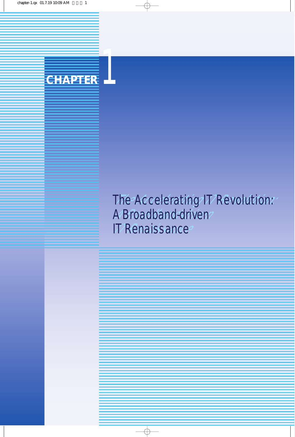

# The Accelerating IT Revolution: **A Broadband-driven**  IT Renaissance CHAPTER<br>
CHAPTER<br>
The Accelerating IT<br>
A Broadband-driven<br>
IT Renaissance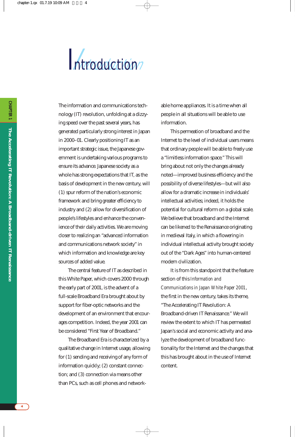# Introduction

The information and communications technology (IT) revolution, unfolding at a dizzying speed over the past several years, has generated particularly strong interest in Japan in 2000–01. Clearly positioning IT as an important strategic issue, the Japanese government is undertaking various programs to ensure its advance. Japanese society as a whole has strong expectations that IT, as the basis of development in the new century, will (1) spur reform of the nation's economic framework and bring greater efficiency to industry and (2) allow for diversification of people's lifestyles and enhance the convenience of their daily activities. We are moving closer to realizing an "advanced information and communications network society" in which information and knowledge are key sources of added value.

The central feature of IT as described in this White Paper, which covers 2000 through the early part of 2001, is the advent of a full-scale Broadband Era brought about by support for fiber-optic networks and the development of an environment that encourages competition. Indeed, the year 2001 can be considered "First Year of Broadband."

The Broadband Era is characterized by a qualitative change in Internet usage, allowing for (1) sending and receiving of any form of information quickly; (2) constant connection; and (3) connection via means other than PCs, such as cell phones and networkable home appliances. It is a time when all people in all situations will be able to use information.

This permeation of broadband and the Internet to the level of individual users means that ordinary people will be able to freely use a "limitless information space." This will bring about not only the changes already noted—improved business efficiency and the possibility of diverse lifestyles—but will also allow for a dramatic increase in individuals' intellectual activities; indeed, it holds the potential for cultural reform on a global scale. We believe that broadband and the Internet can be likened to the Renaissance originating in medieval Italy, in which a flowering in individual intellectual activity brought society out of the "Dark Ages" into human-centered modern civilization.

It is from this standpoint that the feature section of this *Information and Communications in Japan White Paper 2001* , the first in the new century, takes its theme, "The Accelerating IT Revolution: A Broadband-driven IT Renaissance." We will review the extent to which IT has permeated Japan's social and economic activity and analyze the development of broadband functionality for the Internet and the changes that this has brought about in the use of Internet content.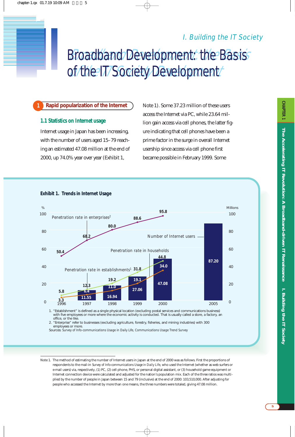# Broadband Development: the Basis of the IT Society Development I. Building the IT Society Development: the Basis<br>
of the IT Society Development

#### **Rapid popularization of the Internet 1**

#### **1.1 Statistics on Internet usage**

Internet usage in Japan has been increasing, with the number of users aged 15–79 reaching an estimated 47.08 million at the end of 2000, up 74.0% year over year (Exhibit 1,

Note 1). Some 37.23 million of these users access the Internet via PC, while 23.64 million gain access via cell phones, the latter figure indicating that cell phones have been a prime factor in the surge in overall Internet usership since access via cell phone first became possible in February 1999. Some



Note 1. The method of estimating the number of Internet users in Japan at the end of 2000 was as follows. First the proportions of respondents to the mail-in *Survey of Info-communications Usage in Daily Life*, who used the Internet (whether as web surfers or e-mail users) via, respectively, (1) PC, (2) cell phone, PHS, or personal digital assistant, or (3) household game equipment or Internet connection device were calculated and adjusted for the nation's population mix. Each of the three ratios was multiplied by the number of people in Japan between 15 and 79 (inclusive) at the end of 2000: 103,510,000. After adjusting for people who accessed the Internet by more than one means, the three numbers were totaled, giving 47.08 million.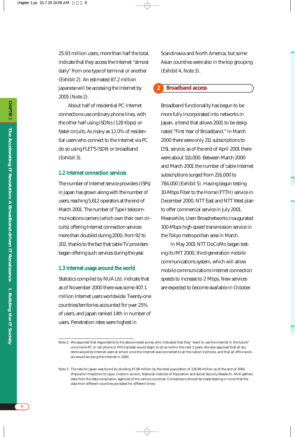25.93 million users, more than half the total, indicate that they access the Internet "almost daily" from one type of terminal or another (Exhibit 2). An estimated 87.2 million Japanese will be accessing the Internet by 2005 (Note 2).

About half of residential PC Internet connections use ordinary phone lines, with the other half using ISDNs (128 Kbps) or faster circuits. As many as 12.0% of residential users who connect to the Internet via PC do so using FLET'S ISDN or broadband (Exhibit 3).

#### **1.2 Internet connection services**

The number of Internet service providers (ISPs) in Japan has grown along with the number of users, reaching 5,612 operators at the end of March 2001. The number of Type I telecommunications carriers (which own their own circuits) offering Internet connection services more than doubled during 2000, from 92 to 202, thanks to the fact that cable TV providers began offering such services during the year.

#### **1.3 Internet usage around the world**

Statistics compiled by NUA Ltd. indicate that as of November 2000 there was some 407.1 million Internet users worldwide. Twenty-one countries/territories accounted for over 25% of users, and Japan ranked 14th in number of users. Penetration rates were highest in

Scandinavia and North America, but some Asian countries were also in the top grouping (Exhibit 4, Note 3).

#### **Broadband access 2**

Broadband functionality has begun to be more fully incorporated into networks in Japan, a trend that allows 2001 to be designated "First Year of Broadband." In March 2000 there were only 211 subscriptions to DSL service; as of the end of April 2001 there were about 110,000. Between March 2000 and March 2001 the number of cable Internet subscriptions surged from 216,000 to 784,000 (Exhibit 5). Having begun testing 10-Mbps Fiber to the Home (FTTH) service in December 2000, NTT East and NTT West plan to offer commercial service in July 2001. Meanwhile, Usen Broadnetworks inaugurated 100-Mbps high-speed transmission service in the Tokyo metropolitan area in March.

In May 2001 NTT DoCoMo began testing its IMT 2000, third-generation mobile communications system, which will allow mobile communications Internet connection speeds to increase to 2 Mbps. New services are expected to become available in October.

Note 2. We assumed that respondents to the above-noted survey who indicated that they "want to use the Internet in the future" via a home PC or cell phone or PHS handset would begin to do so within the next 5 years. We also assumed that all students would be Internet users at school once the Internet was connected to all the nation's schools, and that all office workers would be using the Internet in 2005.

Note 3. The rate for Japan was found by dividing 47.08 million by the total population of 126.89 million as of the end of 2000 (*Population Projections for Japan (medium variant)*, National Institute of Population and Social Security Research). NUA gathers data from the data compilation agencies of the various countries. Comparisons should be made bearing in mind that the data from different countries are dated for different times.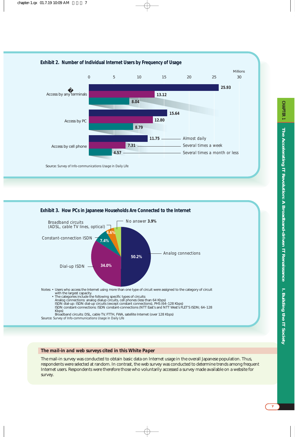

#### **Exhibit 3. How PCs in Japanese Households Are Connected to the Internet**



#### *The mail-in and web surveys cited in this White Paper*

The mail-in survey was conducted to obtain basic data on Internet usage in the overall Japanese population. Thus, respondents were selected at random. In contrast, the web survey was conducted to determine trends among frequent Internet users. Respondents were therefore those who voluntarily accessed a survey made available on a website for survey.

**CHAPTER**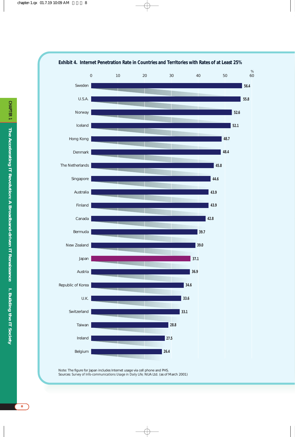

Note: The figure for Japan includes Internet usage via cell phone and PHS. Sources: *Survey of Info-communications Usage in Daily Life;* NUA Ltd. (as of March 2001)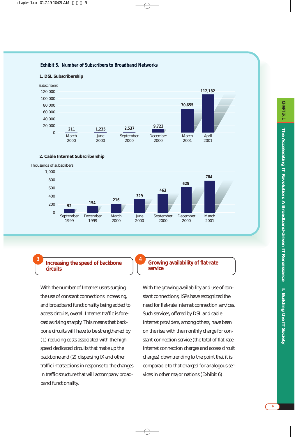#### **Exhibit 5. Number of Subscribers to Broadband Networks**



**1. DSL Subscribership**

#### **2. Cable Internet Subscribership**

Thousands of subscribers



**4**

#### **<sup>3</sup> Increasing the speed of backbone circuits**

With the number of Internet users surging, the use of constant connections increasing, and broadband functionality being added to access circuits, overall Internet traffic is forecast as rising sharply. This means that backbone circuits will have to be strengthened by (1) reducing costs associated with the highspeed dedicated circuits that make up the backbone and (2) dispersing IX and other traffic intersections in response to the changes in traffic structure that will accompany broadband functionality.

#### **Growing availability of flat-rate service**

With the growing availability and use of constant connections, ISPs have recognized the need for flat-rate Internet connection services. Such services, offered by DSL and cable Internet providers, among others, have been on the rise, with the monthly charge for constant-connection service (the total of flat-rate Internet connection charges and access circuit charges) downtrending to the point that it is comparable to that charged for analogous services in other major nations (Exhibit 6).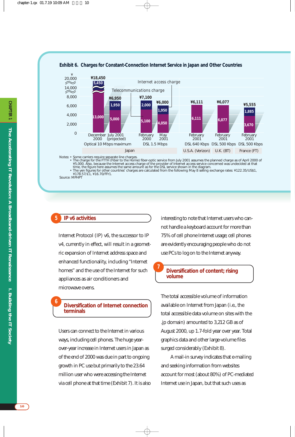

#### **Exhibit 6. Charges for Constant-Connection Internet Service in Japan and Other Countries**

Notes: • Some carriers require separate line charges.<br>• The charge for the FITH (Fiber to the Home) fiber-optic service from July 2001 assumes the planned charge as of April 2000 of<br>• The charge of the provider of Internet

• The yen figures for other countries' charges are calculated from the following May 8 selling exchange rates: ¥122.35/US\$1, ¥178.57/£1, ¥16.70/FFr1.

Source: MPHPT

#### **IP v6 activities 5**

**6**

Internet Protocol (IP) v6, the successor to IP v4, currently in effect, will result in a geometric expansion of Internet address space and enhanced functionality, including "Internet homes" and the use of the Internet for such appliances as air conditioners and microwave ovens.

#### **Diversification of Internet connection terminals**

Users can connect to the Internet in various ways, including cell phones. The huge yearover-year increase in Internet users in Japan as of the end of 2000 was due in part to ongoing growth in PC use but primarily to the 23.64 million user who were accessing the Internet via cell phone at that time (Exhibit 7). It is also interesting to note that Internet users who cannot handle a keyboard account for more than 75% of cell phone Internet usage; cell phones are evidently encouraging people who do not use PCs to log on to the Internet anyway.

#### **Diversification of content; rising volume**

The total accessible volume of information available on Internet from Japan (i.e., the total accessible data volume on sites with the .jp domain) amounted to 3,212 GB as of August 2000, up 1.7-fold year over year. Total graphics data and other large-volume files surged considerably (Exhibit 8).

A mail-in survey indicates that e-mailing and seeking information from websites account for most (about 80%) of PC-mediated Internet use in Japan, but that such uses as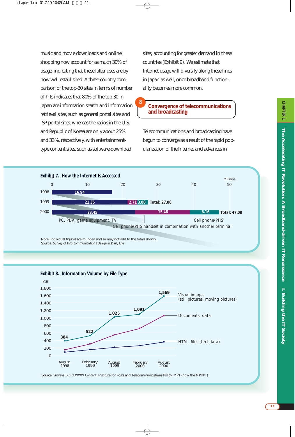**CHAPTER** 

music and movie downloads and online shopping now account for as much 30% of usage, indicating that these latter uses are by now well established. A three-country comparison of the top-30 sites in terms of number of hits indicates that 80% of the top 30 in Japan are information search and information retrieval sites, such as general portal sites and ISP portal sites, whereas the ratios in the U.S. and Republic of Korea are only about 25% and 33%, respectively, with entertainmenttype content sites, such as software-download

sites, accounting for greater demand in these countries (Exhibit 9). We estimate that Internet usage will diversify along these lines in Japan as well, once broadband functionality becomes more common.

**Convergence of telecommunications and broadcasting**

Telecommunications and broadcasting have begun to converge as a result of the rapid popularization of the Internet and advances in



**8**

Note: Individual figures are rounded and so may not add to the totals shown. Source: *Survey of Info-communications Usage in Daily Life*



Source: *Surveys 1–6 of WWW Content,* Institute for Posts and Telecommunications Policy, MPT (now the MPHPT)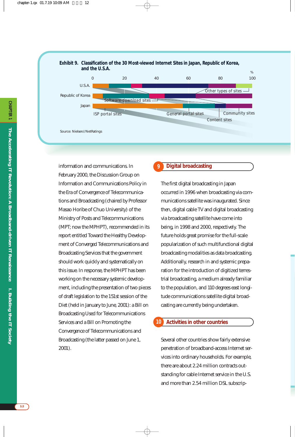

information and communications. In February 2000, the Discussion Group on Information and Communications Policy in the Era of Convergence of Telecommunications and Broadcasting (chaired by Professor Masao Horibe of Chuo University) of the Ministry of Posts and Telecommunications (MPT; now the MPHPT), recommended in its report entitled Toward the Healthy Development of Converged Telecommunications and Broadcasting Services that the government should work quickly and systematically on this issue. In response, the MPHPT has been working on the necessary systemic development, including the presentation of two pieces of draft legislation to the 151st session of the Diet (held in January to June, 2001): a Bill on Broadcasting Used for Telecommunications Services and a Bill on Promoting the Convergence of Telecommunications and Broadcasting (the latter passed on June 1, 2001).

#### **Digital broadcasting 9**

The first digital broadcasting in Japan occurred in 1996 when broadcasting via communications satellite was inaugurated. Since then, digital cable TV and digital broadcasting via broadcasting satellite have come into being, in 1998 and 2000, respectively. The future holds great promise for the full-scale popularization of such multifunctional digital broadcasting modalities as data broadcasting. Additionally, research in and systemic preparation for the introduction of digitized terrestrial broadcasting, a medium already familiar to the population, and 110 degrees east longitude communications satellite digital broadcasting are currently being undertaken.

#### **Activities in other countries 10**

Several other countries show fairly extensive penetration of broadband-access Internet services into ordinary households. For example, there are about 2.24 million contracts outstanding for cable Internet service in the U.S. and more than 2.54 million DSL subscrip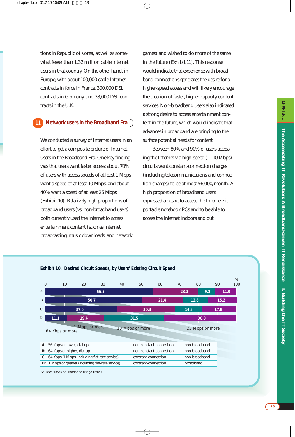tions in Republic of Korea, as well as somewhat fewer than 1.32 million cable Internet users in that country. On the other hand, in Europe, with about 100,000 cable Internet contracts in force in France, 300,000 DSL contracts in Germany, and 33,000 DSL contracts in the U.K.

#### **Network users in the Broadband Era 11**

We conducted a survey of Internet users in an effort to get a composite picture of Internet users in the Broadband Era. One key finding was that users want faster access; about 70% of users with access speeds of at least 1 Mbps want a speed of at least 10 Mbps, and about 40% want a speed of at least 25 Mbps (Exhibit 10). Relatively high proportions of broadband users (vs. non-broadband users) both currently used the Internet to access entertainment content (such as Internet broadcasting, music downloads, and network games) and wished to do more of the same in the future (Exhibit 11). This response would indicate that experience with broadband connections generates the desire for a higher-speed access and will likely encourage the creation of faster, higher-capacity content services. Non-broadband users also indicated a strong desire to access entertainment content in the future, which would indicate that advances in broadband are bringing to the surface potential needs for content.

Between 80% and 90% of users accessing the Internet via high-speed (1–10 Mbps) circuits want constant-connection charges (including telecommunications and connection charges) to be at most ¥6,000/month. A high proportion of broadband users expressed a desire to access the Internet via portable notebook PCs and to be able to access the Internet indoors and out.



**Exhibit 10. Desired Circuit Speeds, by Users' Existing Circuit Speed**

Source: *Survey of Broadband Usage Trends*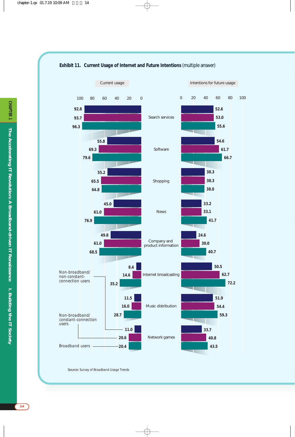

#### **Exhibit 11. Current Usage of Internet and Future Intentions** (multiple answer)

Source: *Survey of Broadband Usage Trends*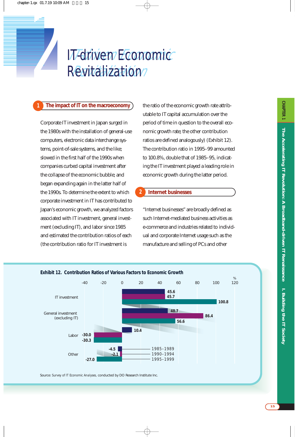# IT-drivien Economic Revitalization? **IT-driven Economic**<br>**2** Revitalization

#### **1 The impact of IT on the macroeconomy**

Corporate IT investment in Japan surged in the 1980s with the installation of general-use computers, electronic data interchange systems, point-of-sale systems, and the like; slowed in the first half of the 1990s when companies curbed capital investment after the collapse of the economic bubble; and began expanding again in the latter half of the 1990s. To determine the extent to which corporate investment in IT has contributed to Japan's economic growth, we analyzed factors associated with IT investment, general investment (excluding IT), and labor since 1985 and estimated the contribution ratios of each (the contribution ratio for IT investment is

the ratio of the economic growth rate attributable to IT capital accumulation over the period of time in question to the overall economic growth rate; the other contribution ratios are defined analogously) (Exhibit 12). The contribution ratio in 1995–99 amounted to 100.8%, double that of 1985–95, indicating the IT investment played a leading role in economic growth during the latter period.

#### **Internet businesses**

**2**

"Internet businesses" are broadly defined as such Internet-mediated business activities as e-commerce and industries related to individual and corporate Internet usage such as the manufacture and selling of PCs and other



Source: *Survey of IT Economic Analyses,* conducted by DO Research Institute Inc.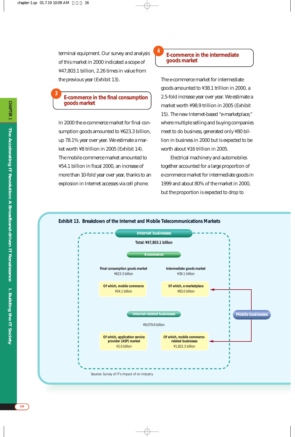terminal equipment. Our survey and analysis of this market in 2000 indicated a scope of ¥47,803.1 billion, 2.26 times in value from the previous year (Exhibit 13).

#### **E-commerce in the final consumption goods market**

In 2000 the e-commerce market for final consumption goods amounted to ¥623.3 billion, up 78.1% year over year. We estimate a market worth ¥8 trillion in 2005 (Exhibit 14). The mobile commerce market amounted to ¥54.1 billion in fiscal 2000, an increase of more than 10-fold year over year, thanks to an explosion in Internet accesses via cell phone.

#### **E-commerce in the intermediate goods market**

**4**

The e-commerce market for intermediate goods amounted to ¥38.1 trillion in 2000, a 2.5-fold increase year over year. We estimate a market worth ¥98.9 trillion in 2005 (Exhibit 15). The new Internet-based "e-marketplace," where multiple selling and buying companies meet to do business, generated only ¥80 billion in business in 2000 but is expected to be worth about ¥16 trillion in 2005.

Electrical machinery and automobiles together accounted for a large proportion of e-commerce market for intermediate goods in 1999 and about 80% of the market in 2000, but the proportion is expected to drop to





**3**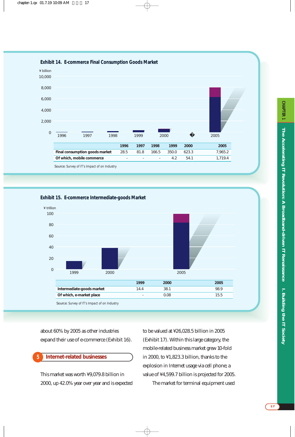

**Exhibit 15. E-commerce Intermediate-goods Market**



about 60% by 2005 as other industries expand their use of e-commerce (Exhibit 16).

#### **Internet-related businesses 5**

This market was worth ¥9,079.8 billion in 2000, up 42.0% year over year and is expected to be valued at ¥26,028.5 billion in 2005 (Exhibit 17). Within this large category, the mobile-related business market grew 10-fold in 2000, to ¥1,823.3 billion, thanks to the explosion in Internet usage via cell phone; a value of ¥4,599.7 billion is projected for 2005.

The market for terminal equipment used

I. Building the IT Society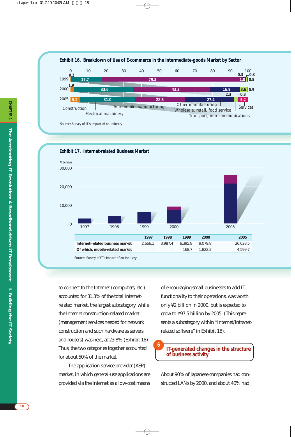





#### **Exhibit 17. Internet-related Business Market**

Source: *Survey of IT's Impact of on Industry*

to connect to the Internet (computers, etc.) accounted for 31.3% of the total Internetrelated market, the largest subcategory, while the Internet construction-related market (management services needed for network construction and such hardware as servers and routers) was next, at 23.8% (Exhibit 18). Thus, the two categories together accounted for about 50% of the market.

The application service provider (ASP) market, in which general-use applications are provided via the Internet as a low-cost means

of encouraging small businesses to add IT functionality to their operations, was worth only ¥2 billion in 2000, but is expected to grow to ¥97.5 billion by 2005. (This represents a subcategory within "Internet/intranetrelated software" in Exhibit 18).

#### **IT-generated changes in the structure of business activity 6**

About 90% of Japanese companies had constructed LANs by 2000, and about 40% had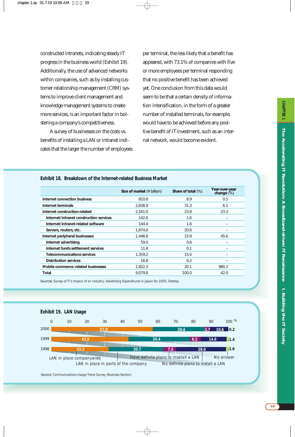constructed intranets, indicating steady IT progress in the business world (Exhibit 19). Additionally, the use of advanced networks within companies, such as by installing customer relationship management (CRM) systems to improve client management and knowledge management systems to create more services, is an important factor in bolstering a company's competitiveness.

A survey of businesses on the costs vs. benefits of installing a LAN or intranet indicates that the larger the number of employees per terminal, the less likely that a benefit has appeared, with 73.1% of companies with five or more employees per terminal responding that no positive benefit has been achieved yet. One conclusion from this data would seem to be that a certain density of information intensification, in the form of a greater number of installed terminals, for example, would have to be achieved before any positive benefit of IT investment, such as an internal network, would become evident.

|                                         | Size of market (¥ billion) | Share of total (%) | Year-over-year<br>change (%) |
|-----------------------------------------|----------------------------|--------------------|------------------------------|
| Internet connection business            | 810.8                      | 8.9                | 0.5                          |
| Internet terminals                      | 2.838.9                    | 31.3               | 6.1                          |
| Internet construction-related           | 2.161.0                    | 23.8               | 23.3                         |
| Internet/intranet construction services | 142.6                      | 1.6                |                              |
| Internet/intranet-related software      | 144.4                      | 1.6                |                              |
| Servers, routers, etc.                  | 1,874.0                    | 20.6               |                              |
| Internet peripheral businesses          | 1.446.8                    | 15.9               | 45.6                         |
| Internet advertising                    | 59.0                       | 0.6                | -                            |
| Internet funds settlement services      | 11.8                       | 0.1                |                              |
| <b>Telecommunications services</b>      | 1,359.2                    | 15.0               |                              |
| <b>Distribution services</b>            | 16.8                       | 0.2                |                              |
| Mobile commerce-related businesses      | 1,822.3                    | 20.1               | 980.2                        |
| Total                                   | 9.079.8                    | 100.0              | 42.0                         |

#### **Exhibit 18. Breakdown of the Internet-related Business Market**

Sources: *Survey of IT's Impact of on Industry*; *Advertising Expenditures in Japan for 2000*, Dentsu



Source: *Communications Usage Trend Survey (Business Section)*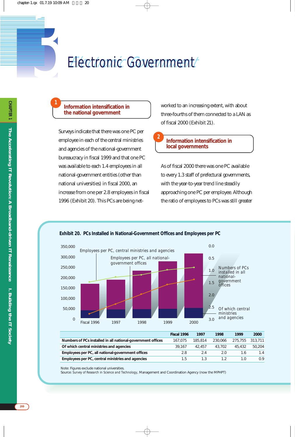# *3* Electronic Government Electronic Government

#### **Information intensification in the national government**

**1**

Surveys indicate that there was one PC per employee in each of the central ministries and agencies of the national-government bureaucracy in fiscal 1999 and that one PC was available to each 1.4 employees in all national-government entities (other than national universities) in fiscal 2000, an increase from one per 2.8 employees in fiscal 1996 (Exhibit 20). This PCs are being networked to an increasing extent, with about three-fourths of them connected to a LAN as of fiscal 2000 (Exhibit 21).

#### **Information intensification in local governments**

As of fiscal 2000 there was one PC available to every 1.3 staff of prefectural governments, with the year-to-year trend line steadily approaching one PC per employee. Although the ratio of employees to PCs was still greater

#### **Exhibit 20. PCs Installed in National-Government Offices and Employees per PC**



**2**

|                                                             | Fiscal 1996 | 1997    | 1998    | 1999            | 2000   |
|-------------------------------------------------------------|-------------|---------|---------|-----------------|--------|
| Numbers of PCs installed in all national-government offices | 167.075     | 185.814 | 230.066 | 275.755 313.711 |        |
| Of which central ministries and agencies                    | 39.167      | 42.457  | 43.702  | 45.432          | 50.204 |
| Employees per PC, all national-government offices           | 2.8         | 2.4     | 2.0     | 1.6             | 1.4    |
| Employees per PC, central ministries and agencies           | 1.5         | 1.3     |         |                 | 0.9    |

Note: Figures exclude national universities.

Source: *Survey of Research in Science and Technology*, Management and Coordination Agency (now the MPHPT)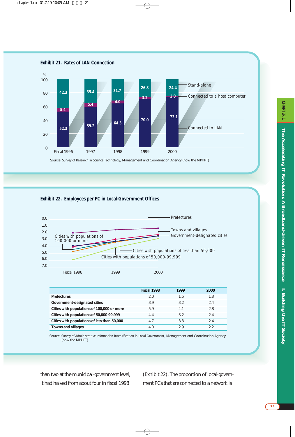Source: *Survey of Research in Science Technology*, Management and Coordination Agency (now the MPHPT)  $\overline{0}$ 20 40 60 80 100 Fiscal 1996 1997 1998 1999 2000 *Stand-alone Connected to LAN Connected to a host computer*  $\%$ *52.3 5.4 42.3 24.4 59.2 5.4 35.4 64.3 4.0 31.7 70.0 3.2 26.8 73.1 2.0*  **Exhibit 21. Rates of LAN Connection**

**Exhibit 22. Employees per PC in Local-Government Offices**



|                                             | Fiscal 1998 | 1999 | 2000 |
|---------------------------------------------|-------------|------|------|
| <b>Prefectures</b>                          | 2.0         | 1.5  | 1.3  |
| Government-designated cities                | 3.9         | 3.2  | 2.4  |
| Cities with populations of 100,000 or more  | 5.9         | 4.1  | 2.8  |
| Cities with populations of 50,000-99,999    | 4.4         | 3.2  | 2.4  |
| Cities with populations of less than 50,000 | 4.7         | 3.3  | 2.4  |
| <b>Towns and villages</b>                   | 4(          | 29   | つつ   |

Source: *Survey of Administrative Information Intensification in Local Government*, Management and Coordination Agency (now the MPHPT)

than two at the municipal-government level, it had halved from about four in fiscal 1998

(Exhibit 22). The proportion of local-government PCs that are connected to a network is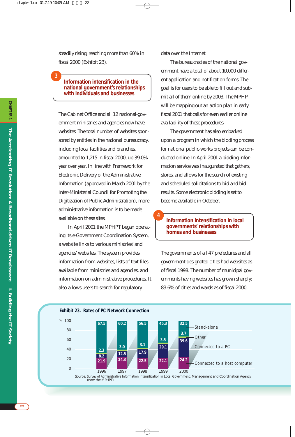steadily rising, reaching more than 60% in fiscal 2000 (Exhibit 23).

**3**

#### **Information intensification in the national government's relationships with individuals and businesses**

The Cabinet Office and all 12 national-government ministries and agencies now have websites. The total number of websites sponsored by entities in the national bureaucracy, including local facilities and branches, amounted to 1,215 in fiscal 2000, up 39.0% year over year. In line with Framework for Electronic Delivery of the Administrative Information (approved in March 2001 by the Inter-Ministerial Council for Promoting the Digitization of Public Administration), more administrative information is to be made available on these sites.

In April 2001 the MPHPT began operating its e-Government Coordination System, a website links to various ministries' and agencies' websites. The system provides information from websites, lists of text files available from ministries and agencies, and information on administrative procedures. It also allows users to search for regulatory

data over the Internet.

The bureaucracies of the national government have a total of about 10,000 different application and notification forms. The goal is for users to be able to fill out and submit all of them online by 2003. The MPHPT will be mapping out an action plan in early fiscal 2001 that calls for even earlier online availability of these procedures.

The government has also embarked upon a program in which the bidding process for national public-works projects can be conducted online. In April 2001 a bidding information service was inaugurated that gathers, stores, and allows for the search of existing and scheduled solicitations to bid and bid results. Some electronic bidding is set to become available in October.

#### **Information intensification in local governments' relationships with homes and businesses**

The governments of all 47 prefectures and all government-designated cities had websites as of fiscal 1998. The number of municipal governments having websites has grown sharply: 83.6% of cities and wards as of fiscal 2000,



**4**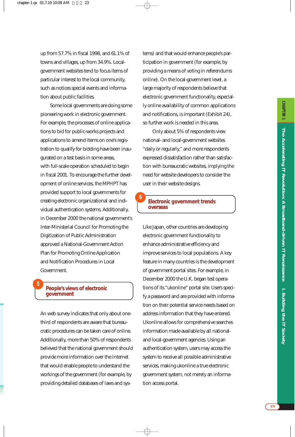up from 57.7% in fiscal 1998, and 61.1% of towns and villages, up from 34.9%. Localgovernment websites tend to focus items of particular interest to the local community, such as notices special events and information about public facilities.

Some local governments are doing some pioneering work in electronic government. For example, the processes of online applications to bid for public-works projects and applications to amend items on one's registration to qualify for bidding have been inaugurated on a test basis in some areas, with full-scale operation scheduled to begin in fiscal 2001. To encourage the further development of online services, the MPHPT has provided support to local governments for creating electronic organizational and individual authentication systems. Additionally, in December 2000 the national government's Inter-Ministerial Council for Promoting the Digitization of Public Administration approved a National-Government Action Plan for Promoting Online Application and Notification Procedures in Local Government.

#### **People's views of electronic government**

**5**

An web survey indicates that only about onethird of respondents are aware that bureaucratic procedures can be taken care of online. Additionally, more than 50% of respondents believed that the national government should provide more information over the Internet that would enable people to understand the workings of the government (for example, by providing detailed databases of laws and systems) and that would enhance people's participation in government (for example, by providing a means of voting in referendums online). On the local-government level, a large majority of respondents believe that electronic government functionality, especially online availability of common applications and notifications, is important (Exhibit 24), so further work is needed in this area.

Only about 5% of respondents view national- and local-government websites "daily or regularly," and more respondents expressed dissatisfaction rather than satisfaction with bureaucratic websites, implying the need for website developers to consider the user in their website designs.

#### **Electronic government trends overseas**

**6**

Like Japan, other countries are developing electronic government functionality to enhance administrative efficiency and improve services to local populations. A key feature in many countries is the development of government portal sites. For example, in December 2000 the U.K. began test operations of its "ukonline" portal site. Users specify a password and are provided with information on their potential service needs based on address information that they have entered. Ukonline allows for comprehensive searches information made available by all nationaland local-government agencies. Using an authentication system, users may access the system to receive all possible administrative services, making ukonline a true electronic government system, not merely an information access portal.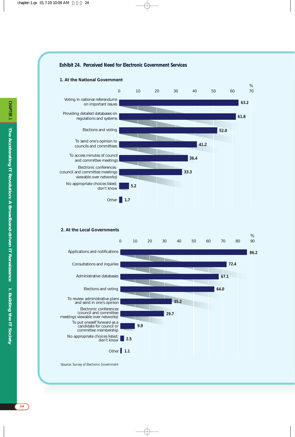#### **Exhibit 24. Perceived Need for Electronic Government Services**

#### **1. At the National Government**



#### **2. At the Local Governments**



Source: *Survey of Electronic Government*

**24**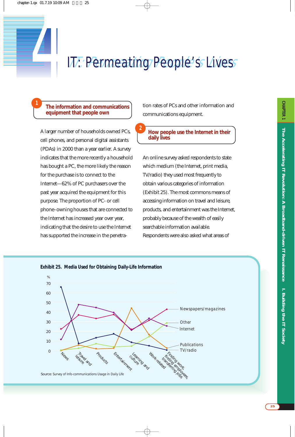### 17. Permeating People's Lives

**2**

#### **The information and communications equipment that people own**

**1**

A larger number of households owned PCs, cell phones, and personal digital assistants (PDAs) in 2000 than a year earlier. A survey indicates that the more recently a household has bought a PC, the more likely the reason for the purchase is to connect to the Internet—62% of PC purchasers over the past year acquired the equipment for this purpose. The proportion of PC- or cell phone–owning houses that are connected to the Internet has increased year over year, indicating that the desire to use the Internet has supported the increase in the penetration rates of PCs and other information and communications equipment.

#### **How people use the Internet in their daily lives**

An online survey asked respondents to state which medium (the Internet, print media, TV/radio) they used most frequently to obtain various categories of information (Exhibit 25). The most commons means of accessing information on travel and leisure, products, and entertainment was the Internet, probably because of the wealth of easily searchable information available. Respondents were also asked what areas of

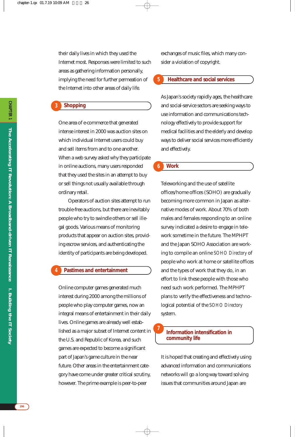their daily lives in which they used the Internet most. Responses were limited to such areas as gathering information personally, implying the need for further permeation of the Internet into other areas of daily life.

#### **Shopping 3**

One area of e-commerce that generated intense interest in 2000 was auction sites on which individual Internet users could buy and sell items from and to one another. When a web survey asked why they participate in online auctions, many users responded that they used the sites in an attempt to buy or sell things not usually available through ordinary retail.

Operators of auction sites attempt to run trouble-free auctions, but there are inevitably people who try to swindle others or sell illegal goods. Various means of monitoring products that appear on auction sites, providing escrow services, and authenticating the identity of participants are being developed.

#### **Pastimes and entertainment 4**

Online computer games generated much interest during 2000 among the millions of people who play computer games, now an integral means of entertainment in their daily lives. Online games are already well established as a major subset of Internet content in the U.S. and Republic of Korea, and such games are expected to become a significant part of Japan's game culture in the near future. Other areas in the entertainment category have come under greater critical scrutiny, however. The prime example is peer-to-peer

exchanges of music files, which many consider a violation of copyright.

#### **Healthcare and social services 5**

As Japan's society rapidly ages, the healthcare and social-service sectors are seeking ways to use information and communications technology effectively to provide support for medical facilities and the elderly and develop ways to deliver social services more efficiently and effectively.

#### **Work 6**

Teleworking and the use of satellite offices/home offices (SOHO) are gradually becoming more common in Japan as alternative modes of work. About 70% of both males and females responding to an online survey indicated a desire to engage in telework sometime in the future. The MPHPT and the Japan SOHO Association are working to compile an online *SOHO Directory* of people who work at home or satellite offices and the types of work that they do, in an effort to link these people with those who need such work performed. The MPHPT plans to verify the effectiveness and technological potential of the *SOHO Directory* system.

#### **Information intensification in community life**

**7**

It is hoped that creating and effectively using advanced information and communications networks will go a long way toward solving issues that communities around Japan are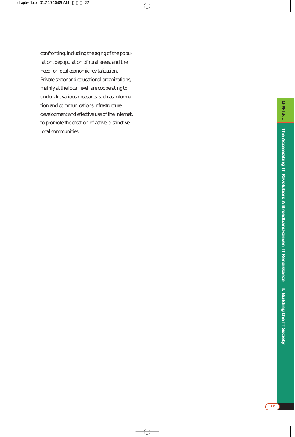confronting, including the aging of the population, depopulation of rural areas, and the need for local economic revitalization. Private-sector and educational organizations, mainly at the local level, are cooperating to undertake various measures, such as information and communications infrastructure development and effective use of the Internet, to promote the creation of active, distinctive local communities.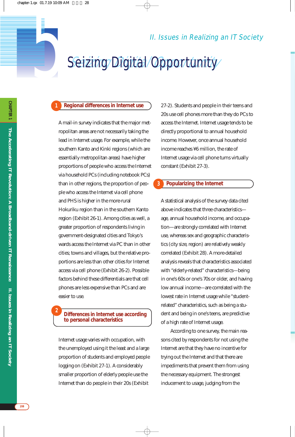II. Issues in Realizing an IT Society

### Seizing Digital Opportunity

# **5 Regional differences in Internet use**

**1**

**2**

A mail-in survey indicates that the major metropolitan areas are not necessarily taking the lead in Internet usage. For example, while the southern Kanto and Kinki regions (which are essentially metropolitan areas) have higher proportions of people who access the Internet via household PCs (including notebook PCs) than in other regions, the proportion of people who access the Internet via cell phone and PHS is higher in the more-rural Hokuriku region than in the southern Kanto region (Exhibit 26-1). Among cities as well, a greater proportion of respondents living in government-designated cities and Tokyo's wards access the Internet via PC than in other cities; towns and villages, but the relative proportions are less than other cities for Internet access via cell phone (Exhibit 26-2). Possible factors behind these differentials are that cell phones are less expensive than PCs and are easier to use.

#### **Differences in Internet use according to personal characteristics**

Internet usage varies with occupation, with the unemployed using it the least and a large proportion of students and employed people logging on (Exhibit 27-1). A considerably smaller proportion of elderly people use the Internet than do people in their 20s (Exhibit

27-2). Students and people in their teens and 20s use cell phones more than they do PCs to access the Internet. Internet usage tends to be directly proportional to annual household income. However, once annual household income reaches ¥6 million, the rate of Internet usage via cell phone turns virtually constant (Exhibit 27-3).

#### **Popularizing the Internet 3**

A statistical analysis of the survey data cited above indicates that three characteristics age, annual household income, and occupation—are strongly correlated with Internet use, whereas sex and geographic characteristics (city size, region) are relatively weakly correlated (Exhibit 28). A more-detailed analysis reveals that characteristics associated with "elderly-related" characteristics—being in one's 60s or one's 70s or older, and having low annual income—are correlated with the lowest rate in Internet usage while "studentrelated" characteristics, such as being a student and being in one's teens, are predictive of a high rate of Internet usage.

According to one survey, the main reasons cited by respondents for not using the Internet are that they have no incentive for trying out the Internet and that there are impediments that prevent them from using the necessary equipment. The strongest inducement to usage, judging from the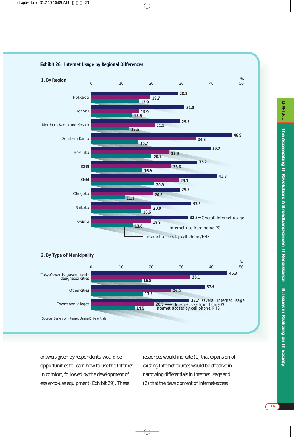

#### **Exhibit 26. Internet Usage by Regional Differences**

Source: *Survey of Internet Usage Differentials*

answers given by respondents, would be opportunities to learn how to use the Internet in comfort, followed by the development of easier-to-use equipment (Exhibit 29). These

responses would indicate (1) that expansion of existing Internet courses would be effective in narrowing differentials in Internet usage and (2) that the development of Internet-access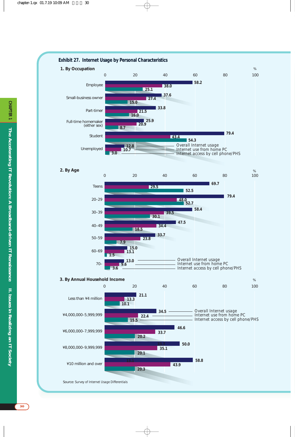

**30**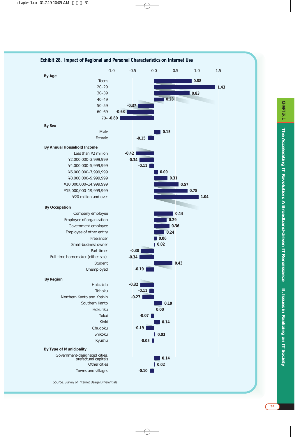

#### **Exhibit 28. Impact of Regional and Personal Characteristics on Internet Use**

**CHAPTER** 

**31**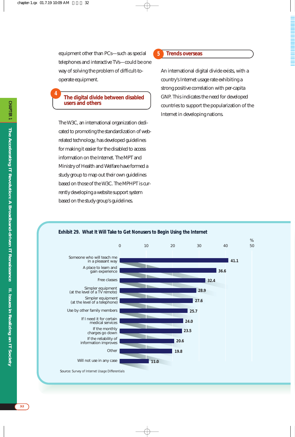**4**

equipment other than PCs—such as special telephones and interactive TVs—could be one way of solving the problem of difficult-tooperate equipment.

**The digital divide between disabled users and others**

The W3C, an international organization dedicated to promoting the standardization of webrelated technology, has developed guidelines for making it easier for the disabled to access information on the Internet. The MPT and Ministry of Health and Welfare have formed a study group to map out their own guidelines based on those of the W3C. The MPHPT is currently developing a website support system based on the study group's guidelines.

#### **Trends overseas**

**5**

An international digital divide exists, with a country's Internet usage rate exhibiting a strong positive correlation with per-capita GNP. This indicates the need for developed countries to support the popularization of the Internet in developing nations.



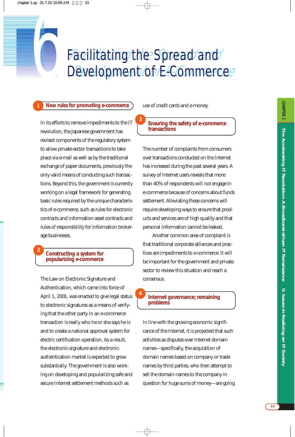# Facilitating the Spread and<br>Development of E-Commerce Development of E-Commerce Facilitating the Spread and

**3**

**4**

#### **1 New rules for promoting e-commerce**

In its efforts to remove impediments to the IT revolution, the Japanese government has revised components of the regulatory system to allow private-sector transactions to take place via e-mail as well as by the traditional exchange of paper documents, previously the only valid means of conducting such transactions. Beyond this, the government is currently working on a legal framework for generating basic rules required by the unique characteristics of e-commerce, such as rules for electronic contracts and information asset contracts and rules of responsibility for information brokerage businesses.

#### **Constructing a system for popularizing e-commerce**

**2**

The Law on Electronic Signature and Authentication, which came into force of April 1, 2001, was enacted to give legal status to electronic signatures as a means of verifying that the other party in an e-commerce transaction is really who he or she says he is and to create a national approval system for electric certification operation. As a result, the electronic-signature and electronicauthentication market is expected to grow substantially. The government is also working on developing and popularizing safe and secure Internet settlement methods such as

use of credit cards and e-money.

#### **Ensuring the safety of e-commerce transactions**

The number of complaints from consumers over transactions conducted on the Internet has increased during the past several years. A survey of Internet users reveals that more than 40% of respondents will not engage in e-commerce because of concerns about funds settlement. Alleviating these concerns will require developing ways to ensure that products and services are of high quality and that personal information cannot be leaked.

Another common area of complaint is that traditional corporate alliances and practices are impediments to e-commerce. It will be important for the government and private sector to review this situation and reach a consensus.

#### **Internet governance; remaining problems**

In line with the growing economic significance of the Internet, it is projected that such activities as disputes over Internet domain names—specifically, the acquisition of domain names based on company or trade names by third parties, who then attempt to sell the domain names to the company in question for huge sums of money—are going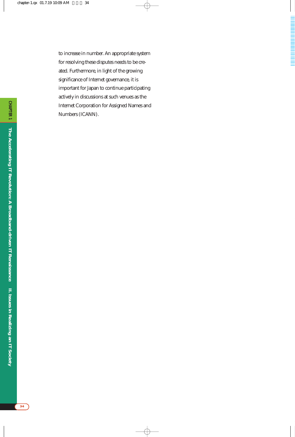to increase in number. An appropriate system for resolving these disputes needs to be created. Furthermore, in light of the growing significance of Internet governance, it is important for Japan to continue participating actively in discussions at such venues as the Internet Corporation for Assigned Names and Numbers (ICANN).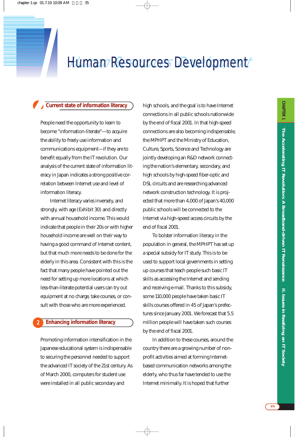# *7 Human Resources Development*

**1**

*2***Current state of information literacy** People need the opportunity to learn to become "information-literate"—to acquire the ability to freely use information and communications equipment—if they are to benefit equally from the IT revolution. Our analysis of the current state of information literacy in Japan indicates a strong positive correlation between Internet use and level of information literacy.

Internet literacy varies inversely, and strongly, with age (Exhibit 30) and directly with annual household income. This would indicate that people in their 20s or with higher household income are well on their way to having a good command of Internet content, but that much more needs to be done for the elderly in this area. Consistent with this is the fact that many people have pointed out the need for setting up more locations at which less-than-literate potential users can try out equipment at no charge, take courses, or consult with those who are more experienced.

#### **Enhancing information literacy 2**

Promoting information intensification in the Japanese educational system is indispensable to securing the personnel needed to support the advanced IT society of the 21st century. As of March 2000, computers for student use were installed in all public secondary and

high schools, and the goal is to have Internet connections in all public schools nationwide by the end of fiscal 2001. In that high-speed connections are also becoming indispensable, the MPHPT and the Ministry of Education, Culture, Sports, Science and Technology are jointly developing an R&D network connecting the nation's elementary, secondary, and high schools by high-speed fiber-optic and DSL circuits and are researching advanced network construction technology. It is projected that more than 4,000 of Japan's 40,000 public schools will be connected to the Internet via high-speed access circuits by the end of fiscal 2001.

To bolster information literacy in the population in general, the MPHPT has set up a special subsidy for IT study. This is to be used to support local governments in setting up courses that teach people such basic IT skills as accessing the Internet and sending and receiving e-mail. Thanks to this subsidy, some 110,000 people have taken basic IT skills courses offered in 45 of Japan's prefectures since January 2001. We forecast that 5.5 million people will have taken such courses by the end of fiscal 2001.

In addition to these courses, around the country there are a growing number of nonprofit activities aimed at forming Internetbased communication networks among the elderly, who thus far have tended to use the Internet minimally. It is hoped that further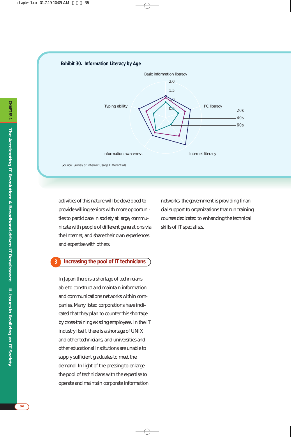#### **Exhibit 30. Information Literacy by Age**



activities of this nature will be developed to provide willing seniors with more opportunities to participate in society at large, communicate with people of different generations via the Internet, and share their own experiences and expertise with others.

#### networks, the government is providing financial support to organizations that run training courses dedicated to enhancing the technical skills of IT specialists.

#### **Increasing the pool of IT technicians 3**

In Japan there is a shortage of technicians able to construct and maintain information and communications networks within companies. Many listed corporations have indicated that they plan to counter this shortage by cross-training existing employees. In the IT industry itself, there is a shortage of UNIX and other technicians, and universities and other educational institutions are unable to supply sufficient graduates to meet the demand. In light of the pressing to enlarge the pool of technicians with the expertise to operate and maintain corporate information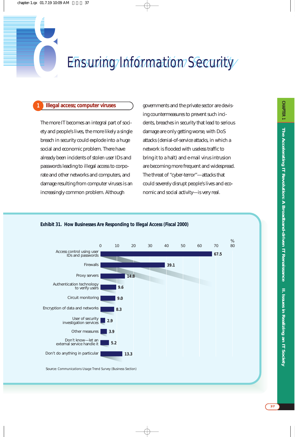## **Ensuring Information Security**

#### **1 Illegal access; computer viruses**

The more IT becomes an integral part of society and people's lives, the more likely a single breach in security could explode into a huge social and economic problem. There have already been incidents of stolen user IDs and passwords leading to illegal access to corporate and other networks and computers, and damage resulting from computer viruses is an increasingly common problem. Although

governments and the private sector are devising countermeasures to prevent such incidents, breaches in security that lead to serious damage are only getting worse, with DoS attacks (denial-of-service attacks, in which a network is flooded with useless traffic to bring it to a halt) and e-mail virus intrusion are becoming more frequent and widespread. The threat of "cyber-terror"—attacks that could severely disrupt people's lives and economic and social activity—is very real.

#### **Exhibit 31. How Businesses Are Responding to Illegal Access (Fiscal 2000)**



Source: *Communications Usage Trend Survey (Business Section)*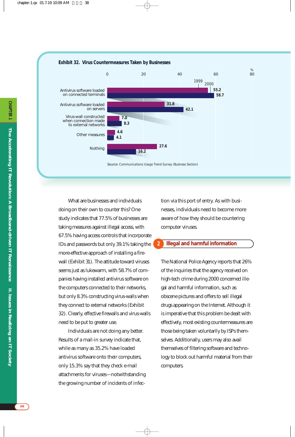

What are businesses and individuals doing on their own to counter this? One study indicates that 77.5% of businesses are taking measures against illegal access, with 67.5% having access controls that incorporate IDs and passwords but only 39.1% taking the more-effective approach of installing a firewall (Exhibit 31). The attitude toward viruses seems just as lukewarm, with 58.7% of companies having installed antivirus software on the computers connected to their networks, but only 8.3% constructing virus-walls when they connect to external networks (Exhibit 32). Clearly, effective firewalls and virus-walls need to be put to greater use.

Individuals are not doing any better. Results of a mail-in survey indicate that, while as many as 35.2% have loaded antivirus software onto their computers, only 15.3% say that they check e-mail attachments for viruses—notwithstanding the growing number of incidents of infec-

tion via this port of entry. As with businesses, individuals need to become more aware of how they should be countering computer viruses.

#### **Illegal and harmful information 2**

The National Police Agency reports that 26% of the inquiries that the agency received on high-tech crime during 2000 concerned illegal and harmful information, such as obscene pictures and offers to sell illegal drugs appearing on the Internet. Although it is imperative that this problem be dealt with effectively, most existing countermeasures are those being taken voluntarily by ISPs themselves. Additionally, users may also avail themselves of filtering software and technology to block out harmful material from their computers.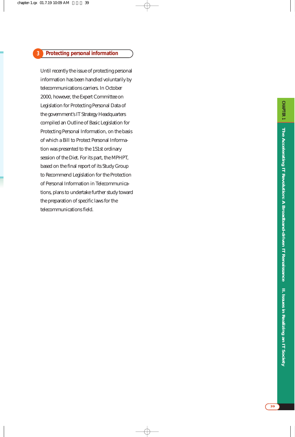#### **Protecting personal information**

**3**

Until recently the issue of protecting personal information has been handled voluntarily by telecommunications carriers. In October 2000, however, the Expert Committee on Legislation for Protecting Personal Data of the government's IT Strategy Headquarters compiled an Outline of Basic Legislation for Protecting Personal Information, on the basis of which a Bill to Protect Personal Information was presented to the 151st ordinary session of the Diet. For its part, the MPHPT, based on the final report of its Study Group to Recommend Legislation for the Protection of Personal Information in Telecommunications, plans to undertake further study toward the preparation of specific laws for the telecommunications field.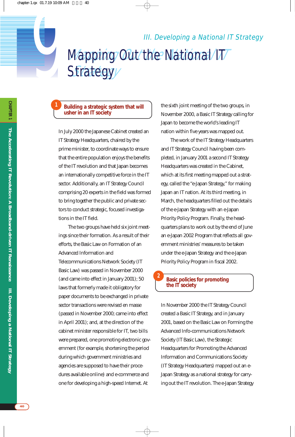## Aapping Out the National IT Strategy III. Developing a National<br> *Aapping Out the National IT*<br> *Strategy* III. Developing a National IT Strategy

#### **Building a strategic system that will usher in an IT society**

In July 2000 the Japanese Cabinet created an IT Strategy Headquarters, chaired by the prime minister, to coordinate ways to ensure that the entire population enjoys the benefits of the IT revolution and that Japan becomes an internationally competitive force in the IT sector. Additionally, an IT Strategy Council comprising 20 experts in the field was formed to bring together the public and private sectors to conduct strategic, focused investigations in the IT field.

The two groups have held six joint meetings since their formation. As a result of their efforts, the Basic Law on Formation of an Advanced Information and Telecommunications Network Society (IT Basic Law) was passed in November 2000 (and came into effect in January 2001); 50 laws that formerly made it obligatory for paper documents to be exchanged in private sector transactions were revised en masse (passed in November 2000; came into effect in April 2001); and, at the direction of the cabinet minister responsible for IT, two bills were prepared, one promoting electronic government (for example, shortening the period during which government ministries and agencies are supposed to have their procedures available online) and e-commerce and one for developing a high-speed Internet. At

the sixth joint meeting of the two groups, in November 2000, a Basic IT Strategy calling for Japan to become the world's leading IT nation within five years was mapped out.

The work of the IT Strategy Headquarters and IT Strategy Council having been completed, in January 2001 a second IT Strategy Headquarters was created in the Cabinet, which at its first meeting mapped out a strategy, called the "e-Japan Strategy," for making Japan an IT nation. At its third meeting, in March, the headquarters filled out the details of the e-Japan Strategy with an e-Japan Priority Policy Program. Finally, the headquarters plans to work out by the end of June an e-Japan 2002 Program that reflects all government ministries' measures to be taken under the e-Japan Strategy and the e-Japan Priority Policy Program in fiscal 2002.

#### **Basic policies for promoting the IT society**

**2**

In November 2000 the IT Strategy Council created a Basic IT Strategy, and in January 2001, based on the Basic Law on Forming the Advanced Info-communications Network Society (IT Basic Law), the Strategic Headquarters for Promoting the Advanced Information and Communications Society (IT Strategy Headquarters) mapped out an e-Japan Strategy as a national strategy for carrying out the IT revolution. The e-Japan Strategy

**1**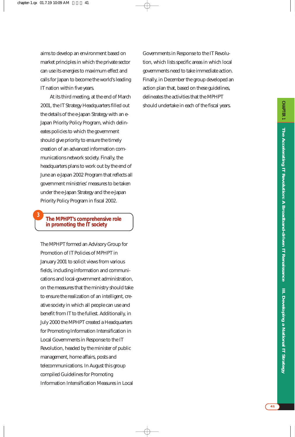aims to develop an environment based on market principles in which the private sector can use its energies to maximum effect and calls for Japan to become the world's leading IT nation within five years.

At its third meeting, at the end of March 2001, the IT Strategy Headquarters filled out the details of the e-Japan Strategy with an e-Japan Priority Policy Program, which delineates policies to which the government should give priority to ensure the timely creation of an advanced information communications network society. Finally, the headquarters plans to work out by the end of June an e-Japan 2002 Program that reflects all government ministries' measures to be taken under the e-Japan Strategy and the e-Japan Priority Policy Program in fiscal 2002.

#### **The MPHPT's comprehensive role in promoting the IT society**

**3**

The MPHPT formed an Advisory Group for Promotion of IT Policies of MPHPT in January 2001 to solicit views from various fields, including information and communications and local-government administration, on the measures that the ministry should take to ensure the realization of an intelligent, creative society in which all people can use and benefit from IT to the fullest. Additionally, in July 2000 the MPHPT created a Headquarters for Promoting Information Intensification in Local Governments in Response to the IT Revolution, headed by the minister of public management, home affairs, posts and telecommunications. In August this group compiled Guidelines for Promoting Information Intensification Measures in Local Governments in Response to the IT Revolution, which lists specific areas in which local governments need to take immediate action. Finally, in December the group developed an action plan that, based on these guidelines, delineates the activities that the MPHPT should undertake in each of the fiscal years.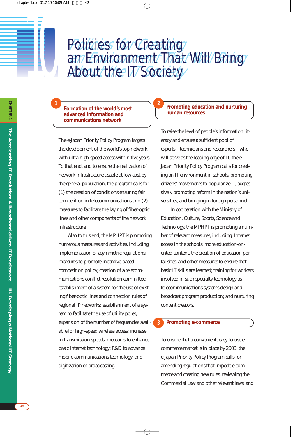#### Policies for Creating an Environment That Will Bring About the IT Society Policies for Creating an Environment That Will Bring About the IT Society

**2**

**Formation of the world's most advanced information and communications network**

**1**

*10*

The e-Japan Priority Policy Program targets the development of the world's top network with ultra-high-speed access within five years. To that end, and to ensure the realization of network infrastructure usable at low cost by the general population, the program calls for (1) the creation of conditions ensuring fair competition in telecommunications and (2) measures to facilitate the laying of fiber-optic lines and other components of the network infrastructure.

Also to this end, the MPHPT is promoting numerous measures and activities, including: implementation of asymmetric regulations; measures to promote incentive-based competition policy; creation of a telecommunications conflict resolution committee; establishment of a system for the use of existing fiber-optic lines and connection rules of regional IP networks; establishment of a system to facilitate the use of utility poles; expansion of the number of frequencies available for high-speed wireless access; increase in transmission speeds; measures to enhance basic Internet technology; R&D to advance mobile communications technology; and digitization of broadcasting.

#### **Promoting education and nurturing human resources**

To raise the level of people's information literacy and ensure a sufficient pool of experts—technicians and researchers—who will serve as the leading edge of IT, the e-Japan Priority Policy Program calls for creating an IT environment in schools, promoting citizens' movements to popularize IT, aggressively promoting reform in the nation's universities, and bringing in foreign personnel.

In cooperation with the Ministry of Education, Culture, Sports, Science and Technology, the MPHPT is promoting a number of relevant measures, including: Internet access in the schools, more education-oriented content, the creation of education portal sites, and other measures to ensure that basic IT skills are learned; training for workers involved in such specialty technology as telecommunications systems design and broadcast program production; and nurturing content creators.

#### **Promoting e-commerce**

**3**

To ensure that a convenient, easy-to-use ecommerce market is in place by 2003, the e-Japan Priority Policy Program calls for amending regulations that impede e-commerce and creating new rules, reviewing the Commercial Law and other relevant laws, and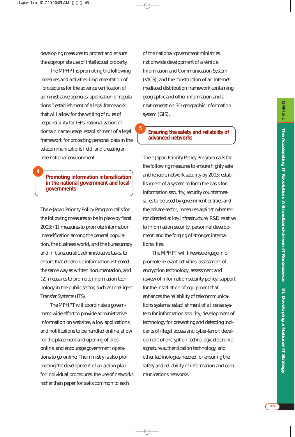developing measures to protect and ensure the appropriate use of intellectual property.

The MPHPT is promoting the following measures and activities: implementation of "procedures for the advance verification of administrative agencies' application of regulations," establishment of a legal framework that will allow for the writing of rules of responsibility for ISPs, rationalization of domain name usage, establishment of a legal framework for protecting personal data in the telecommunications field, and creating an international environment.

**Promoting information intensification in the national government and local governments** 

**4**

The e-Japan Priority Policy Program calls for the following measures to be in place by fiscal 2003: (1) measures to promote information intensification among the general population, the business world, and the bureaucracy and in bureaucratic administrative tasks, to ensure that electronic information is treated the same way as written documentation, and (2) measures to promote information technology in the public sector, such as Intelligent Transfer Systems (ITS).

The MPHPT will coordinate a government-wide effort to provide administrative information on websites, allow applications and notifications to be handled online, allow for the placement and opening of bids online, and encourage government operations to go online. The ministry is also promoting the development of an action plan for individual procedures, the use of networks rather than paper for tasks common to each

of the national-government ministries, nationwide development of a Vehicle Information and Communication System (VICS), and the construction of an Internetmediated distribution framework containing geographic and other information and a next-generation 3D geographic information system (GIS).

#### **Ensuring the safety and reliability of advanced networks**

**5**

The e-Japan Priority Policy Program calls for the following measures to ensure highly safe and reliable network security by 2003: establishment of a system to form the basis for information security; security countermeasures to be used by government entities and the private sector; measures against cyber-terror directed at key infrastructure; R&D relative to information security; personnel development; and the forging of stronger international ties.

The MPHPT will likewise engage in or promote relevant activities: assessment of encryption technology; assessment and review of information security policy; support for the installation of equipment that enhances the reliability of telecommunications systems; establishment of a license system for information security; development of technology for preventing and detecting incidents of illegal access and cyber-terror; development of encryption technology, electronic signature authentication technology, and other technologies needed for ensuring the safety and reliability of information and communications networks.